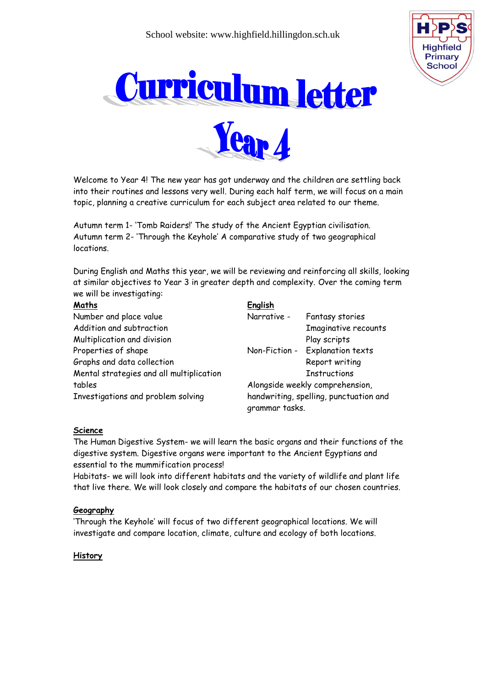



Welcome to Year 4! The new year has got underway and the children are settling back into their routines and lessons very well. During each half term, we will focus on a main topic, planning a creative curriculum for each subject area related to our theme.

Autumn term 1- 'Tomb Raiders!' The study of the Ancient Egyptian civilisation. Autumn term 2- 'Through the Keyhole' A comparative study of two geographical locations.

During English and Maths this year, we will be reviewing and reinforcing all skills, looking at similar objectives to Year 3 in greater depth and complexity. Over the coming term we will be investigating:

#### **Maths English**

|                                          | -                                                                                                                                      |     |
|------------------------------------------|----------------------------------------------------------------------------------------------------------------------------------------|-----|
| Number and place value                   | Narrative -                                                                                                                            | Fa  |
| Addition and subtraction                 |                                                                                                                                        | Im  |
| Multiplication and division              |                                                                                                                                        | Pla |
| Properties of shape                      | Non-Fiction -                                                                                                                          | Ex  |
| Graphs and data collection               |                                                                                                                                        | Re  |
| Mental strategies and all multiplication |                                                                                                                                        | In: |
| tables                                   | Alongside weekly                                                                                                                       |     |
| Investigations and problem solving       | handwriting, spelli<br>the contract of the contract of the contract of the contract of the contract of the contract of the contract of |     |

ntasy stories **naginative recounts** ay scripts planation texts: port writing structions comprehension, ing, punctuation and grammar tasks.

## **Science**

The Human Digestive System- we will learn the basic organs and their functions of the digestive system. Digestive organs were important to the Ancient Egyptians and essential to the mummification process!

Habitats- we will look into different habitats and the variety of wildlife and plant life that live there. We will look closely and compare the habitats of our chosen countries.

#### **Geography**

'Through the Keyhole' will focus of two different geographical locations. We will investigate and compare location, climate, culture and ecology of both locations.

#### **History**